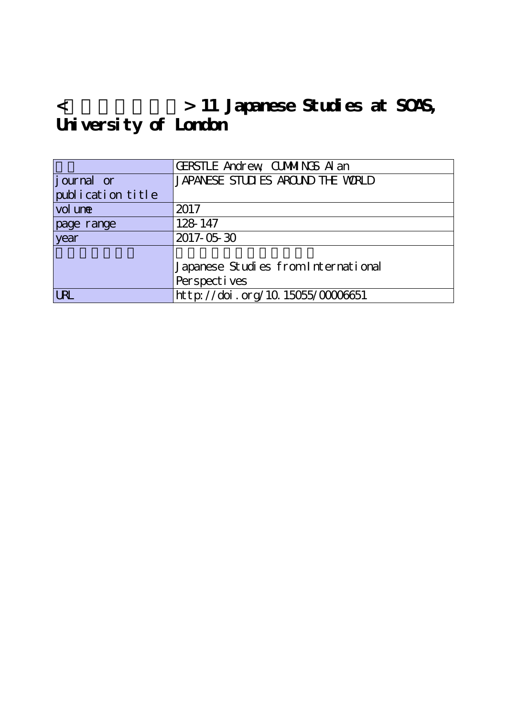# **<欧米の日本研究> 11 Japanese Studies at SOAS, University of London**

|                   | <b>GERSTLE Andrew CUMMINGS A an</b> |
|-------------------|-------------------------------------|
| journal or        | JAPANESE STUDIES AROUND THE WORLD   |
| publication title |                                     |
| vol une           | 2017                                |
| page range        | 128 147                             |
| year              | 2017-05-30                          |
|                   |                                     |
|                   | Japanese Studies from International |
|                   | Perspectives                        |
| <b>LRL</b>        | http://doi.org/10.15055/00006651    |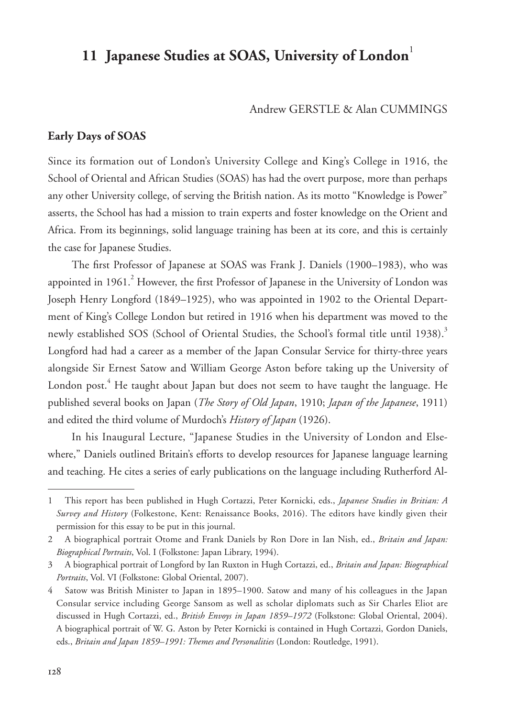# 11 Japanese Studies at SOAS, University of London<sup>1</sup>

#### Andrew GERSTLE & Alan CUMMINGS

# **Early Days of SOAS**

Since its formation out of London's University College and King's College in 1916, the School of Oriental and African Studies (SOAS) has had the overt purpose, more than perhaps any other University college, of serving the British nation. As its motto "Knowledge is Power" asserts, the School has had a mission to train experts and foster knowledge on the Orient and Africa. From its beginnings, solid language training has been at its core, and this is certainly the case for Japanese Studies.

The first Professor of Japanese at SOAS was Frank J. Daniels (1900–1983), who was appointed in  $1961. <sup>2</sup>$  However, the first Professor of Japanese in the University of London was Joseph Henry Longford (1849–1925), who was appointed in 1902 to the Oriental Department of King's College London but retired in 1916 when his department was moved to the newly established SOS (School of Oriental Studies, the School's formal title until 1938).<sup>3</sup> Longford had had a career as a member of the Japan Consular Service for thirty-three years alongside Sir Ernest Satow and William George Aston before taking up the University of London post.<sup>4</sup> He taught about Japan but does not seem to have taught the language. He published several books on Japan (*The Story of Old Japan*, 1910; *Japan of the Japanese*, 1911) and edited the third volume of Murdoch's *History of Japan* (1926).

In his Inaugural Lecture, "Japanese Studies in the University of London and Elsewhere," Daniels outlined Britain's efforts to develop resources for Japanese language learning and teaching. He cites a series of early publications on the language including Rutherford Al-

<sup>1</sup> This report has been published in Hugh Cortazzi, Peter Kornicki, eds., *Japanese Studies in Britian: A Survey and History* (Folkestone, Kent: Renaissance Books, 2016). The editors have kindly given their permission for this essay to be put in this journal.

<sup>2</sup> A biographical portrait Otome and Frank Daniels by Ron Dore in Ian Nish, ed., *Britain and Japan: Biographical Portraits*, Vol. I (Folkstone: Japan Library, 1994).

<sup>3</sup> A biographical portrait of Longford by Ian Ruxton in Hugh Cortazzi, ed., *Britain and Japan: Biographical Portraits*, Vol. VI (Folkstone: Global Oriental, 2007).

<sup>4</sup> Satow was British Minister to Japan in 1895–1900. Satow and many of his colleagues in the Japan Consular service including George Sansom as well as scholar diplomats such as Sir Charles Eliot are discussed in Hugh Cortazzi, ed., *British Envoys in Japan 1859–1972* (Folkstone: Global Oriental, 2004). A biographical portrait of W. G. Aston by Peter Kornicki is contained in Hugh Cortazzi, Gordon Daniels, eds., *Britain and Japan 1859–1991: Themes and Personalities* (London: Routledge, 1991).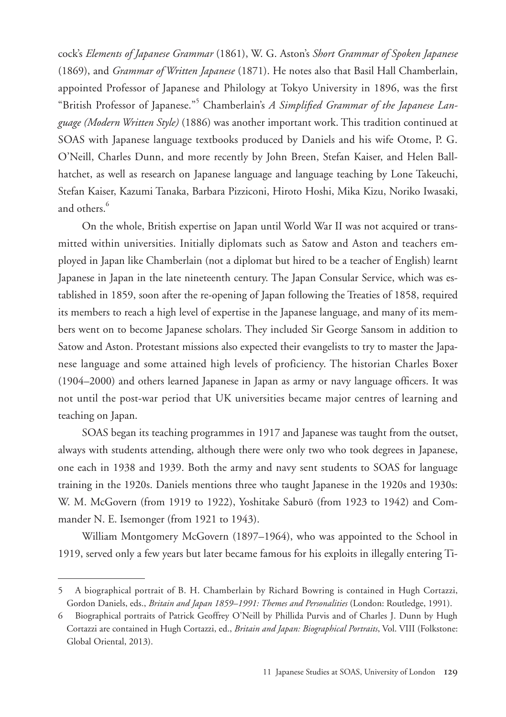cock's *Elements of Japanese Grammar* (1861), W. G. Aston's *Short Grammar of Spoken Japanese*  (1869), and *Grammar of Written Japanese* (1871). He notes also that Basil Hall Chamberlain, appointed Professor of Japanese and Philology at Tokyo University in 1896, was the first "British Professor of Japanese."<sup>5</sup> Chamberlain's *A Simplified Grammar of the Japanese Language (Modern Written Style)* (1886) was another important work. This tradition continued at SOAS with Japanese language textbooks produced by Daniels and his wife Otome, P. G. O'Neill, Charles Dunn, and more recently by John Breen, Stefan Kaiser, and Helen Ballhatchet, as well as research on Japanese language and language teaching by Lone Takeuchi, Stefan Kaiser, Kazumi Tanaka, Barbara Pizziconi, Hiroto Hoshi, Mika Kizu, Noriko Iwasaki, and others.<sup>6</sup>

On the whole, British expertise on Japan until World War II was not acquired or transmitted within universities. Initially diplomats such as Satow and Aston and teachers employed in Japan like Chamberlain (not a diplomat but hired to be a teacher of English) learnt Japanese in Japan in the late nineteenth century. The Japan Consular Service, which was established in 1859, soon after the re-opening of Japan following the Treaties of 1858, required its members to reach a high level of expertise in the Japanese language, and many of its members went on to become Japanese scholars. They included Sir George Sansom in addition to Satow and Aston. Protestant missions also expected their evangelists to try to master the Japanese language and some attained high levels of proficiency. The historian Charles Boxer (1904–2000) and others learned Japanese in Japan as army or navy language officers. It was not until the post-war period that UK universities became major centres of learning and teaching on Japan.

SOAS began its teaching programmes in 1917 and Japanese was taught from the outset, always with students attending, although there were only two who took degrees in Japanese, one each in 1938 and 1939. Both the army and navy sent students to SOAS for language training in the 1920s. Daniels mentions three who taught Japanese in the 1920s and 1930s: W. M. McGovern (from 1919 to 1922), Yoshitake Saburō (from 1923 to 1942) and Commander N. E. Isemonger (from 1921 to 1943).

William Montgomery McGovern (1897–1964), who was appointed to the School in 1919, served only a few years but later became famous for his exploits in illegally entering Ti-

<sup>5</sup> A biographical portrait of B. H. Chamberlain by Richard Bowring is contained in Hugh Cortazzi, Gordon Daniels, eds., *Britain and Japan 1859–1991: Themes and Personalities* (London: Routledge, 1991).

<sup>6</sup> Biographical portraits of Patrick Geoffrey O'Neill by Phillida Purvis and of Charles J. Dunn by Hugh Cortazzi are contained in Hugh Cortazzi, ed., *Britain and Japan: Biographical Portraits*, Vol. VIII (Folkstone: Global Oriental, 2013).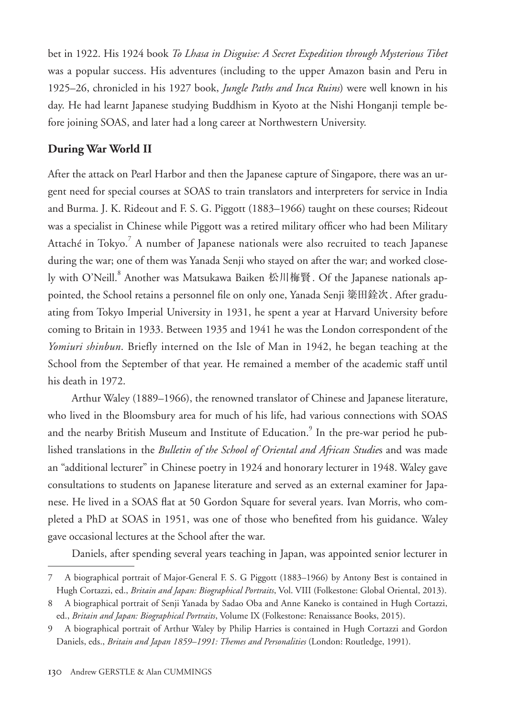bet in 1922. His 1924 book *To Lhasa in Disguise: A Secret Expedition through Mysterious Tibet* was a popular success. His adventures (including to the upper Amazon basin and Peru in 1925–26, chronicled in his 1927 book, *Jungle Paths and Inca Ruins*) were well known in his day. He had learnt Japanese studying Buddhism in Kyoto at the Nishi Honganji temple before joining SOAS, and later had a long career at Northwestern University.

## **During War World II**

After the attack on Pearl Harbor and then the Japanese capture of Singapore, there was an urgent need for special courses at SOAS to train translators and interpreters for service in India and Burma. J. K. Rideout and F. S. G. Piggott (1883–1966) taught on these courses; Rideout was a specialist in Chinese while Piggott was a retired military officer who had been Military Attaché in Tokyo.<sup>7</sup> A number of Japanese nationals were also recruited to teach Japanese during the war; one of them was Yanada Senji who stayed on after the war; and worked closely with O'Neill.<sup>8</sup> Another was Matsukawa Baiken 松川梅賢. Of the Japanese nationals appointed, the School retains a personnel file on only one, Yanada Senji 簗田銓次. After graduating from Tokyo Imperial University in 1931, he spent a year at Harvard University before coming to Britain in 1933. Between 1935 and 1941 he was the London correspondent of the *Yomiuri shinbun*. Briefly interned on the Isle of Man in 1942, he began teaching at the School from the September of that year. He remained a member of the academic staff until his death in 1972.

Arthur Waley (1889–1966), the renowned translator of Chinese and Japanese literature, who lived in the Bloomsbury area for much of his life, had various connections with SOAS and the nearby British Museum and Institute of Education.<sup>9</sup> In the pre-war period he published translations in the *Bulletin of the School of Oriental and African Studie*s and was made an "additional lecturer" in Chinese poetry in 1924 and honorary lecturer in 1948. Waley gave consultations to students on Japanese literature and served as an external examiner for Japanese. He lived in a SOAS flat at 50 Gordon Square for several years. Ivan Morris, who completed a PhD at SOAS in 1951, was one of those who benefited from his guidance. Waley gave occasional lectures at the School after the war.

Daniels, after spending several years teaching in Japan, was appointed senior lecturer in

<sup>7</sup> A biographical portrait of Major-General F. S. G Piggott (1883–1966) by Antony Best is contained in Hugh Cortazzi, ed., *Britain and Japan: Biographical Portraits*, Vol. VIII (Folkestone: Global Oriental, 2013).

<sup>8</sup> A biographical portrait of Senji Yanada by Sadao Oba and Anne Kaneko is contained in Hugh Cortazzi, ed., *Britain and Japan: Biographical Portraits*, Volume IX (Folkestone: Renaissance Books, 2015).

<sup>9</sup> A biographical portrait of Arthur Waley by Philip Harries is contained in Hugh Cortazzi and Gordon Daniels, eds., *Britain and Japan 1859–1991: Themes and Personalities* (London: Routledge, 1991).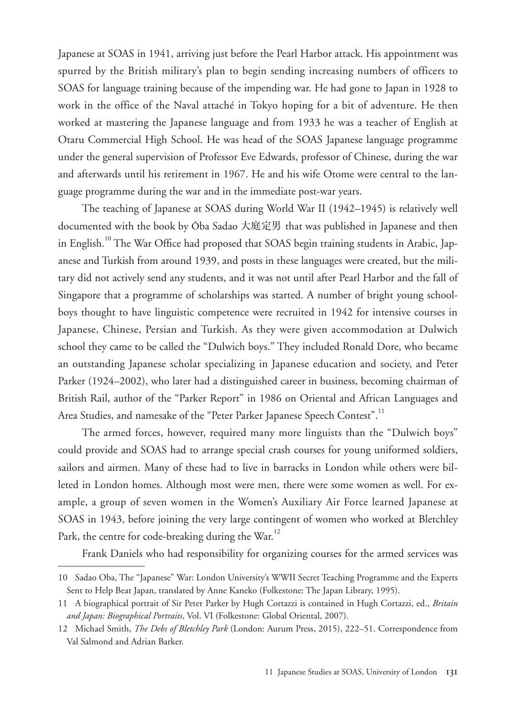Japanese at SOAS in 1941, arriving just before the Pearl Harbor attack. His appointment was spurred by the British military's plan to begin sending increasing numbers of officers to SOAS for language training because of the impending war. He had gone to Japan in 1928 to work in the office of the Naval attaché in Tokyo hoping for a bit of adventure. He then worked at mastering the Japanese language and from 1933 he was a teacher of English at Otaru Commercial High School. He was head of the SOAS Japanese language programme under the general supervision of Professor Eve Edwards, professor of Chinese, during the war and afterwards until his retirement in 1967. He and his wife Otome were central to the language programme during the war and in the immediate post-war years.

The teaching of Japanese at SOAS during World War II (1942–1945) is relatively well documented with the book by Ōba Sadao 大庭定男 that was published in Japanese and then in English.<sup>10</sup> The War Office had proposed that SOAS begin training students in Arabic, Japanese and Turkish from around 1939, and posts in these languages were created, but the military did not actively send any students, and it was not until after Pearl Harbor and the fall of Singapore that a programme of scholarships was started. A number of bright young schoolboys thought to have linguistic competence were recruited in 1942 for intensive courses in Japanese, Chinese, Persian and Turkish. As they were given accommodation at Dulwich school they came to be called the "Dulwich boys." They included Ronald Dore, who became an outstanding Japanese scholar specializing in Japanese education and society, and Peter Parker (1924–2002), who later had a distinguished career in business, becoming chairman of British Rail, author of the "Parker Report" in 1986 on Oriental and African Languages and Area Studies, and namesake of the "Peter Parker Japanese Speech Contest".<sup>11</sup>

The armed forces, however, required many more linguists than the "Dulwich boys" could provide and SOAS had to arrange special crash courses for young uniformed soldiers, sailors and airmen. Many of these had to live in barracks in London while others were billeted in London homes. Although most were men, there were some women as well. For example, a group of seven women in the Women's Auxiliary Air Force learned Japanese at SOAS in 1943, before joining the very large contingent of women who worked at Bletchley Park, the centre for code-breaking during the War.<sup>12</sup>

Frank Daniels who had responsibility for organizing courses for the armed services was

<sup>10</sup> Sadao Oba, The "Japanese" War: London University's WWII Secret Teaching Programme and the Experts Sent to Help Beat Japan, translated by Anne Kaneko (Folkestone: The Japan Library, 1995).

<sup>11</sup> A biographical portrait of Sir Peter Parker by Hugh Cortazzi is contained in Hugh Cortazzi, ed., *Britain and Japan: Biographical Portraits*, Vol. VI (Folkestone: Global Oriental, 2007).

<sup>12</sup> Michael Smith, *The Debs of Bletchley Park* (London: Aurum Press, 2015), 222–51. Correspondence from Val Salmond and Adrian Barker.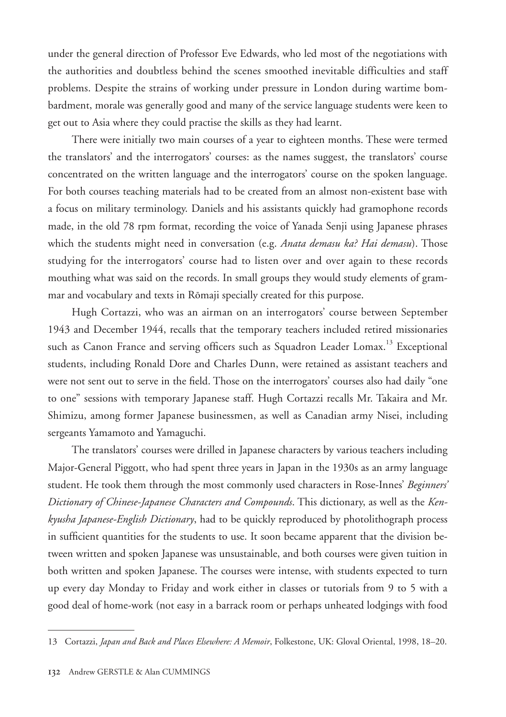under the general direction of Professor Eve Edwards, who led most of the negotiations with the authorities and doubtless behind the scenes smoothed inevitable difficulties and staff problems. Despite the strains of working under pressure in London during wartime bombardment, morale was generally good and many of the service language students were keen to get out to Asia where they could practise the skills as they had learnt.

There were initially two main courses of a year to eighteen months. These were termed the translators' and the interrogators' courses: as the names suggest, the translators' course concentrated on the written language and the interrogators' course on the spoken language. For both courses teaching materials had to be created from an almost non-existent base with a focus on military terminology. Daniels and his assistants quickly had gramophone records made, in the old 78 rpm format, recording the voice of Yanada Senji using Japanese phrases which the students might need in conversation (e.g. *Anata demasu ka? Hai demasu*). Those studying for the interrogators' course had to listen over and over again to these records mouthing what was said on the records. In small groups they would study elements of grammar and vocabulary and texts in Rōmaji specially created for this purpose.

Hugh Cortazzi, who was an airman on an interrogators' course between September 1943 and December 1944, recalls that the temporary teachers included retired missionaries such as Canon France and serving officers such as Squadron Leader Lomax.<sup>13</sup> Exceptional students, including Ronald Dore and Charles Dunn, were retained as assistant teachers and were not sent out to serve in the field. Those on the interrogators' courses also had daily "one to one" sessions with temporary Japanese staff. Hugh Cortazzi recalls Mr. Takaira and Mr. Shimizu, among former Japanese businessmen, as well as Canadian army Nisei, including sergeants Yamamoto and Yamaguchi.

The translators' courses were drilled in Japanese characters by various teachers including Major-General Piggott, who had spent three years in Japan in the 1930s as an army language student. He took them through the most commonly used characters in Rose-Innes' *Beginners' Dictionary of Chinese-Japanese Characters and Compounds*. This dictionary, as well as the *Kenkyusha Japanese-English Dictionary*, had to be quickly reproduced by photolithograph process in sufficient quantities for the students to use. It soon became apparent that the division between written and spoken Japanese was unsustainable, and both courses were given tuition in both written and spoken Japanese. The courses were intense, with students expected to turn up every day Monday to Friday and work either in classes or tutorials from 9 to 5 with a good deal of home-work (not easy in a barrack room or perhaps unheated lodgings with food

<sup>13</sup> Cortazzi, *Japan and Back and Places Elsewhere: A Memoir*, Folkestone, UK: Gloval Oriental, 1998, 18–20.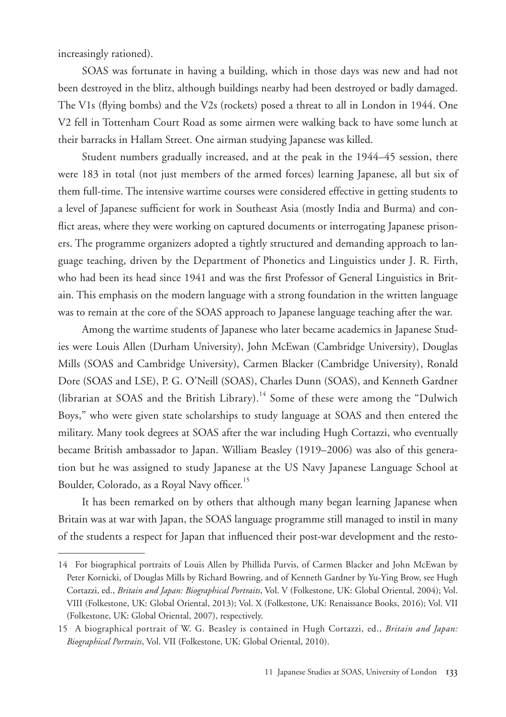increasingly rationed).

SOAS was fortunate in having a building, which in those days was new and had not been destroyed in the blitz, although buildings nearby had been destroyed or badly damaged. The V1s (flying bombs) and the V2s (rockets) posed a threat to all in London in 1944. One V2 fell in Tottenham Court Road as some airmen were walking back to have some lunch at their barracks in Hallam Street. One airman studying Japanese was killed.

Student numbers gradually increased, and at the peak in the 1944–45 session, there were 183 in total (not just members of the armed forces) learning Japanese, all but six of them full-time. The intensive wartime courses were considered effective in getting students to a level of Japanese sufficient for work in Southeast Asia (mostly India and Burma) and conflict areas, where they were working on captured documents or interrogating Japanese prisoners. The programme organizers adopted a tightly structured and demanding approach to language teaching, driven by the Department of Phonetics and Linguistics under J. R. Firth, who had been its head since 1941 and was the first Professor of General Linguistics in Britain. This emphasis on the modern language with a strong foundation in the written language was to remain at the core of the SOAS approach to Japanese language teaching after the war.

Among the wartime students of Japanese who later became academics in Japanese Studies were Louis Allen (Durham University), John McEwan (Cambridge University), Douglas Mills (SOAS and Cambridge University), Carmen Blacker (Cambridge University), Ronald Dore (SOAS and LSE), P. G. O'Neill (SOAS), Charles Dunn (SOAS), and Kenneth Gardner (librarian at SOAS and the British Library).<sup>14</sup> Some of these were among the "Dulwich" Boys," who were given state scholarships to study language at SOAS and then entered the military. Many took degrees at SOAS after the war including Hugh Cortazzi, who eventually became British ambassador to Japan. William Beasley (1919–2006) was also of this generation but he was assigned to study Japanese at the US Navy Japanese Language School at Boulder, Colorado, as a Royal Navy officer.<sup>15</sup>

It has been remarked on by others that although many began learning Japanese when Britain was at war with Japan, the SOAS language programme still managed to instil in many of the students a respect for Japan that influenced their post-war development and the resto-

<sup>14</sup> For biographical portraits of Louis Allen by Phillida Purvis, of Carmen Blacker and John McEwan by Peter Kornicki, of Douglas Mills by Richard Bowring, and of Kenneth Gardner by Yu-Ying Brow, see Hugh Cortazzi, ed., *Britain and Japan: Biographical Portraits*, Vol. V (Folkestone, UK: Global Oriental, 2004); Vol. VIII (Folkestone, UK: Global Oriental, 2013); Vol. X (Folkestone, UK: Renaissance Books, 2016); Vol. VII (Folkestone, UK: Global Oriental, 2007), respectively.

<sup>15</sup> A biographical portrait of W. G. Beasley is contained in Hugh Cortazzi, ed., *Britain and Japan: Biographical Portraits*, Vol. VII (Folkestone, UK: Global Oriental, 2010).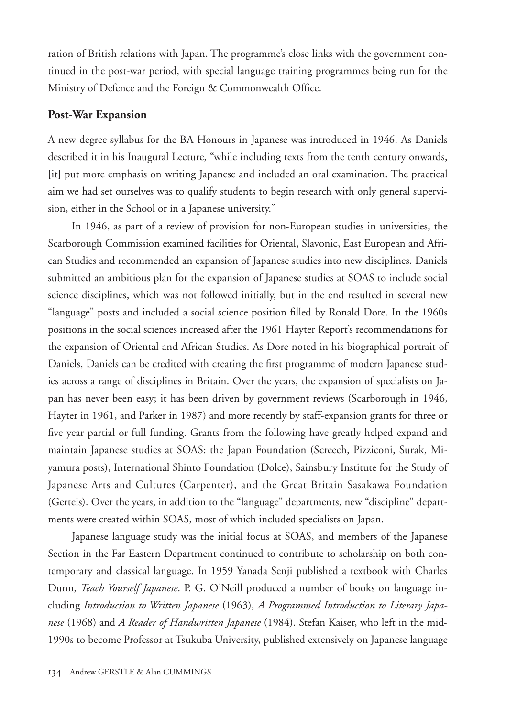ration of British relations with Japan. The programme's close links with the government continued in the post-war period, with special language training programmes being run for the Ministry of Defence and the Foreign & Commonwealth Office.

#### **Post-War Expansion**

A new degree syllabus for the BA Honours in Japanese was introduced in 1946. As Daniels described it in his Inaugural Lecture, "while including texts from the tenth century onwards, [it] put more emphasis on writing Japanese and included an oral examination. The practical aim we had set ourselves was to qualify students to begin research with only general supervision, either in the School or in a Japanese university."

In 1946, as part of a review of provision for non-European studies in universities, the Scarborough Commission examined facilities for Oriental, Slavonic, East European and African Studies and recommended an expansion of Japanese studies into new disciplines. Daniels submitted an ambitious plan for the expansion of Japanese studies at SOAS to include social science disciplines, which was not followed initially, but in the end resulted in several new "language" posts and included a social science position filled by Ronald Dore. In the 1960s positions in the social sciences increased after the 1961 Hayter Report's recommendations for the expansion of Oriental and African Studies. As Dore noted in his biographical portrait of Daniels, Daniels can be credited with creating the first programme of modern Japanese studies across a range of disciplines in Britain. Over the years, the expansion of specialists on Japan has never been easy; it has been driven by government reviews (Scarborough in 1946, Hayter in 1961, and Parker in 1987) and more recently by staff-expansion grants for three or five year partial or full funding. Grants from the following have greatly helped expand and maintain Japanese studies at SOAS: the Japan Foundation (Screech, Pizziconi, Surak, Miyamura posts), International Shinto Foundation (Dolce), Sainsbury Institute for the Study of Japanese Arts and Cultures (Carpenter), and the Great Britain Sasakawa Foundation (Gerteis). Over the years, in addition to the "language" departments, new "discipline" departments were created within SOAS, most of which included specialists on Japan.

Japanese language study was the initial focus at SOAS, and members of the Japanese Section in the Far Eastern Department continued to contribute to scholarship on both contemporary and classical language. In 1959 Yanada Senji published a textbook with Charles Dunn, *Teach Yourself Japanese*. P. G. O'Neill produced a number of books on language including *Introduction to Written Japanese* (1963), *A Programmed Introduction to Literary Japanese* (1968) and *A Reader of Handwritten Japanese* (1984). Stefan Kaiser, who left in the mid-1990s to become Professor at Tsukuba University, published extensively on Japanese language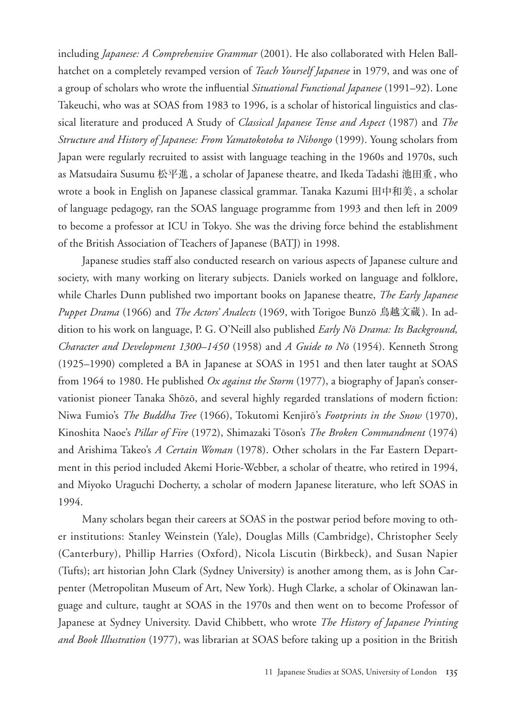including *Japanese: A Comprehensive Grammar* (2001). He also collaborated with Helen Ballhatchet on a completely revamped version of *Teach Yourself Japanese* in 1979, and was one of a group of scholars who wrote the influential *Situational Functional Japanese* (1991–92). Lone Takeuchi, who was at SOAS from 1983 to 1996, is a scholar of historical linguistics and classical literature and produced A Study of *Classical Japanese Tense and Aspect* (1987) and *The Structure and History of Japanese: From Yamatokotoba to Nihongo* (1999). Young scholars from Japan were regularly recruited to assist with language teaching in the 1960s and 1970s, such as Matsudaira Susumu 松平進, a scholar of Japanese theatre, and Ikeda Tadashi 池田重, who wrote a book in English on Japanese classical grammar. Tanaka Kazumi 田中和美, a scholar of language pedagogy, ran the SOAS language programme from 1993 and then left in 2009 to become a professor at ICU in Tokyo. She was the driving force behind the establishment of the British Association of Teachers of Japanese (BATJ) in 1998.

Japanese studies staff also conducted research on various aspects of Japanese culture and society, with many working on literary subjects. Daniels worked on language and folklore, while Charles Dunn published two important books on Japanese theatre, *The Early Japanese Puppet Drama* (1966) and *The Actors' Analects* (1969, with Torigoe Bunzō 鳥越文蔵). In addition to his work on language, P. G. O'Neill also published *Early Nō Drama: Its Background, Character and Development 1300–1450* (1958) and *A Guide to Nō* (1954). Kenneth Strong (1925–1990) completed a BA in Japanese at SOAS in 1951 and then later taught at SOAS from 1964 to 1980. He published *Ox against the Storm* (1977), a biography of Japan's conservationist pioneer Tanaka Shōzō, and several highly regarded translations of modern fiction: Niwa Fumio's *The Buddha Tree* (1966), Tokutomi Kenjirō's *Footprints in the Snow* (1970), Kinoshita Naoe's *Pillar of Fire* (1972), Shimazaki Tōson's *The Broken Commandment* (1974) and Arishima Takeo's *A Certain Woman* (1978). Other scholars in the Far Eastern Department in this period included Akemi Horie-Webber, a scholar of theatre, who retired in 1994, and Miyoko Uraguchi Docherty, a scholar of modern Japanese literature, who left SOAS in 1994.

Many scholars began their careers at SOAS in the postwar period before moving to other institutions: Stanley Weinstein (Yale), Douglas Mills (Cambridge), Christopher Seely (Canterbury), Phillip Harries (Oxford), Nicola Liscutin (Birkbeck), and Susan Napier (Tufts); art historian John Clark (Sydney University) is another among them, as is John Carpenter (Metropolitan Museum of Art, New York). Hugh Clarke, a scholar of Okinawan language and culture, taught at SOAS in the 1970s and then went on to become Professor of Japanese at Sydney University. David Chibbett, who wrote *The History of Japanese Printing and Book Illustration* (1977), was librarian at SOAS before taking up a position in the British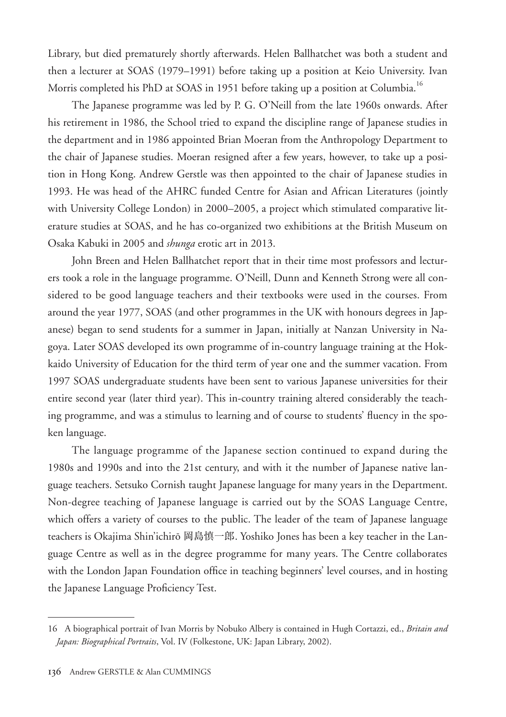Library, but died prematurely shortly afterwards. Helen Ballhatchet was both a student and then a lecturer at SOAS (1979–1991) before taking up a position at Keio University. Ivan Morris completed his PhD at SOAS in 1951 before taking up a position at Columbia.<sup>16</sup>

The Japanese programme was led by P. G. O'Neill from the late 1960s onwards. After his retirement in 1986, the School tried to expand the discipline range of Japanese studies in the department and in 1986 appointed Brian Moeran from the Anthropology Department to the chair of Japanese studies. Moeran resigned after a few years, however, to take up a position in Hong Kong. Andrew Gerstle was then appointed to the chair of Japanese studies in 1993. He was head of the AHRC funded Centre for Asian and African Literatures (jointly with University College London) in 2000–2005, a project which stimulated comparative literature studies at SOAS, and he has co-organized two exhibitions at the British Museum on Osaka Kabuki in 2005 and *shunga* erotic art in 2013.

John Breen and Helen Ballhatchet report that in their time most professors and lecturers took a role in the language programme. O'Neill, Dunn and Kenneth Strong were all considered to be good language teachers and their textbooks were used in the courses. From around the year 1977, SOAS (and other programmes in the UK with honours degrees in Japanese) began to send students for a summer in Japan, initially at Nanzan University in Nagoya. Later SOAS developed its own programme of in-country language training at the Hokkaido University of Education for the third term of year one and the summer vacation. From 1997 SOAS undergraduate students have been sent to various Japanese universities for their entire second year (later third year). This in-country training altered considerably the teaching programme, and was a stimulus to learning and of course to students' fluency in the spoken language.

The language programme of the Japanese section continued to expand during the 1980s and 1990s and into the 21st century, and with it the number of Japanese native language teachers. Setsuko Cornish taught Japanese language for many years in the Department. Non-degree teaching of Japanese language is carried out by the SOAS Language Centre, which offers a variety of courses to the public. The leader of the team of Japanese language teachers is Okajima Shin'ichirō 岡島慎一郎. Yoshiko Jones has been a key teacher in the Language Centre as well as in the degree programme for many years. The Centre collaborates with the London Japan Foundation office in teaching beginners' level courses, and in hosting the Japanese Language Proficiency Test.

<sup>16</sup> A biographical portrait of Ivan Morris by Nobuko Albery is contained in Hugh Cortazzi, ed., *Britain and Japan: Biographical Portraits*, Vol. IV (Folkestone, UK: Japan Library, 2002).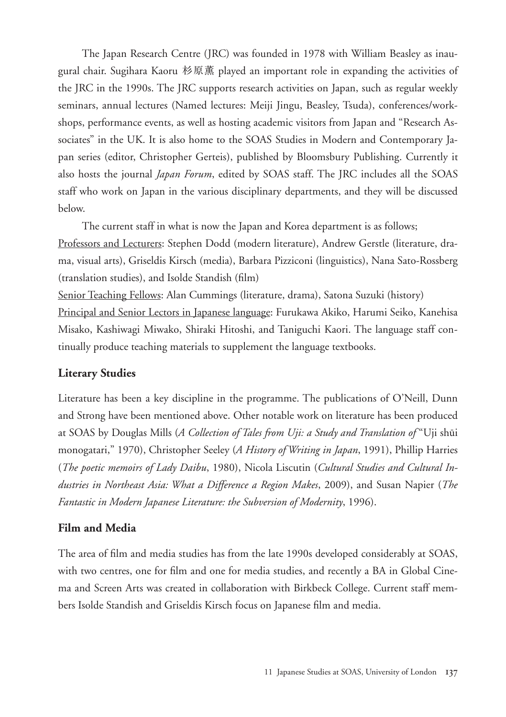The Japan Research Centre (JRC) was founded in 1978 with William Beasley as inaugural chair. Sugihara Kaoru 杉原薫 played an important role in expanding the activities of the JRC in the 1990s. The JRC supports research activities on Japan, such as regular weekly seminars, annual lectures (Named lectures: Meiji Jingu, Beasley, Tsuda), conferences/workshops, performance events, as well as hosting academic visitors from Japan and "Research Associates" in the UK. It is also home to the SOAS Studies in Modern and Contemporary Japan series (editor, Christopher Gerteis), published by Bloomsbury Publishing. Currently it also hosts the journal *Japan Forum*, edited by SOAS staff. The JRC includes all the SOAS staff who work on Japan in the various disciplinary departments, and they will be discussed below.

The current staff in what is now the Japan and Korea department is as follows;

Professors and Lecturers: Stephen Dodd (modern literature), Andrew Gerstle (literature, drama, visual arts), Griseldis Kirsch (media), Barbara Pizziconi (linguistics), Nana Sato-Rossberg (translation studies), and Isolde Standish (film)

Senior Teaching Fellows: Alan Cummings (literature, drama), Satona Suzuki (history)

Principal and Senior Lectors in Japanese language: Furukawa Akiko, Harumi Seiko, Kanehisa Misako, Kashiwagi Miwako, Shiraki Hitoshi, and Taniguchi Kaori. The language staff continually produce teaching materials to supplement the language textbooks.

## **Literary Studies**

Literature has been a key discipline in the programme. The publications of O'Neill, Dunn and Strong have been mentioned above. Other notable work on literature has been produced at SOAS by Douglas Mills (*A Collection of Tales from Uji: a Study and Translation of* "Uji shūi monogatari," 1970), Christopher Seeley (*A History of Writing in Japan*, 1991), Phillip Harries (*The poetic memoirs of Lady Daibu*, 1980), Nicola Liscutin (*Cultural Studies and Cultural Industries in Northeast Asia: What a Difference a Region Makes*, 2009), and Susan Napier (*The Fantastic in Modern Japanese Literature: the Subversion of Modernity*, 1996).

## **Film and Media**

The area of film and media studies has from the late 1990s developed considerably at SOAS, with two centres, one for film and one for media studies, and recently a BA in Global Cinema and Screen Arts was created in collaboration with Birkbeck College. Current staff members Isolde Standish and Griseldis Kirsch focus on Japanese film and media.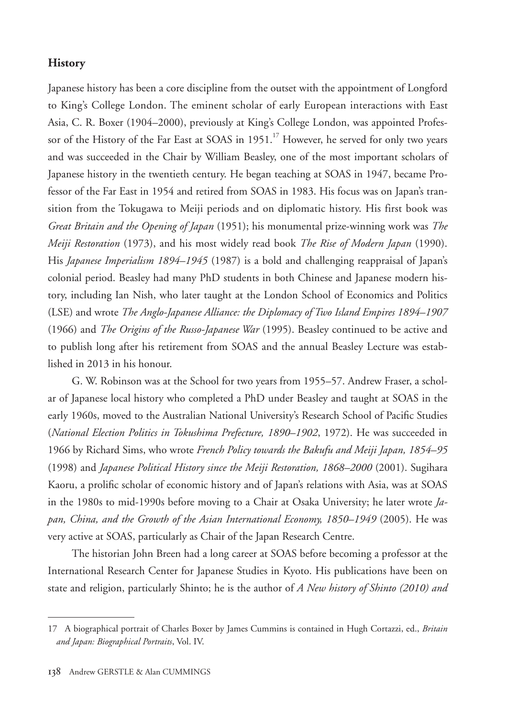#### **History**

Japanese history has been a core discipline from the outset with the appointment of Longford to King's College London. The eminent scholar of early European interactions with East Asia, C. R. Boxer (1904–2000), previously at King's College London, was appointed Professor of the History of the Far East at SOAS in  $1951$ .<sup>17</sup> However, he served for only two years and was succeeded in the Chair by William Beasley, one of the most important scholars of Japanese history in the twentieth century. He began teaching at SOAS in 1947, became Professor of the Far East in 1954 and retired from SOAS in 1983. His focus was on Japan's transition from the Tokugawa to Meiji periods and on diplomatic history. His first book was *Great Britain and the Opening of Japan* (1951); his monumental prize-winning work was *The Meiji Restoration* (1973), and his most widely read book *The Rise of Modern Japan* (1990). His *Japanese Imperialism 1894–1945* (1987) is a bold and challenging reappraisal of Japan's colonial period. Beasley had many PhD students in both Chinese and Japanese modern history, including Ian Nish, who later taught at the London School of Economics and Politics (LSE) and wrote *The Anglo-Japanese Alliance: the Diplomacy of Two Island Empires 1894–1907*  (1966) and *The Origins of the Russo-Japanese War* (1995). Beasley continued to be active and to publish long after his retirement from SOAS and the annual Beasley Lecture was established in 2013 in his honour.

G. W. Robinson was at the School for two years from 1955–57. Andrew Fraser, a scholar of Japanese local history who completed a PhD under Beasley and taught at SOAS in the early 1960s, moved to the Australian National University's Research School of Pacific Studies (*National Election Politics in Tokushima Prefecture, 1890–1902*, 1972). He was succeeded in 1966 by Richard Sims, who wrote *French Policy towards the Bakufu and Meiji Japan, 1854–95*  (1998) and *Japanese Political History since the Meiji Restoration, 1868–2000* (2001). Sugihara Kaoru, a prolific scholar of economic history and of Japan's relations with Asia, was at SOAS in the 1980s to mid-1990s before moving to a Chair at Osaka University; he later wrote *Japan, China, and the Growth of the Asian International Economy, 1850–1949 (2005). He was* very active at SOAS, particularly as Chair of the Japan Research Centre.

The historian John Breen had a long career at SOAS before becoming a professor at the International Research Center for Japanese Studies in Kyoto. His publications have been on state and religion, particularly Shinto; he is the author of *A New history of Shinto (2010) and* 

<sup>17</sup> A biographical portrait of Charles Boxer by James Cummins is contained in Hugh Cortazzi, ed., *Britain and Japan: Biographical Portraits*, Vol. IV.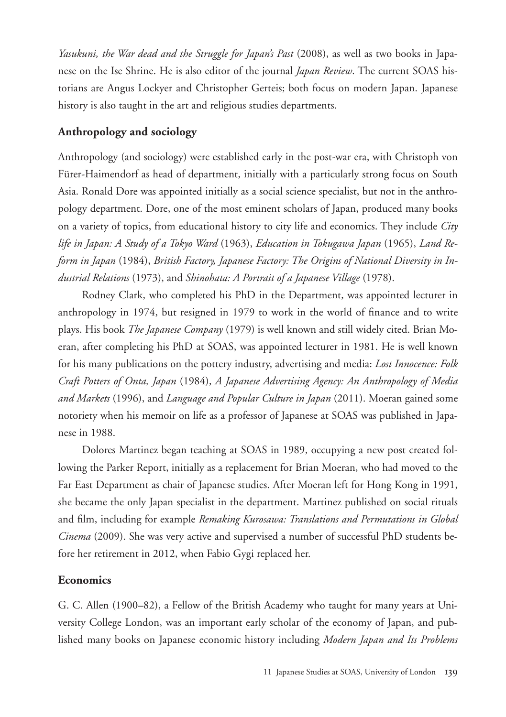*Yasukuni, the War dead and the Struggle for Japan's Past* (2008), as well as two books in Japanese on the Ise Shrine. He is also editor of the journal *Japan Review*. The current SOAS historians are Angus Lockyer and Christopher Gerteis; both focus on modern Japan. Japanese history is also taught in the art and religious studies departments.

# **Anthropology and sociology**

Anthropology (and sociology) were established early in the post-war era, with Christoph von Fürer-Haimendorf as head of department, initially with a particularly strong focus on South Asia. Ronald Dore was appointed initially as a social science specialist, but not in the anthropology department. Dore, one of the most eminent scholars of Japan, produced many books on a variety of topics, from educational history to city life and economics. They include *City life in Japan: A Study of a Tokyo Ward* (1963), *Education in Tokugawa Japan* (1965), *Land Reform in Japan* (1984), *British Factory, Japanese Factory: The Origins of National Diversity in Industrial Relations* (1973), and *Shinohata: A Portrait of a Japanese Village* (1978).

Rodney Clark, who completed his PhD in the Department, was appointed lecturer in anthropology in 1974, but resigned in 1979 to work in the world of finance and to write plays. His book *The Japanese Company* (1979) is well known and still widely cited. Brian Moeran, after completing his PhD at SOAS, was appointed lecturer in 1981. He is well known for his many publications on the pottery industry, advertising and media: *Lost Innocence: Folk Craft Potters of Onta, Japan* (1984), *A Japanese Advertising Agency: An Anthropology of Media and Markets* (1996), and *Language and Popular Culture in Japan* (2011). Moeran gained some notoriety when his memoir on life as a professor of Japanese at SOAS was published in Japanese in 1988.

Dolores Martinez began teaching at SOAS in 1989, occupying a new post created following the Parker Report, initially as a replacement for Brian Moeran, who had moved to the Far East Department as chair of Japanese studies. After Moeran left for Hong Kong in 1991, she became the only Japan specialist in the department. Martinez published on social rituals and film, including for example *Remaking Kurosawa: Translations and Permutations in Global Cinema* (2009). She was very active and supervised a number of successful PhD students before her retirement in 2012, when Fabio Gygi replaced her.

## **Economics**

G. C. Allen (1900–82), a Fellow of the British Academy who taught for many years at University College London, was an important early scholar of the economy of Japan, and published many books on Japanese economic history including *Modern Japan and Its Problems*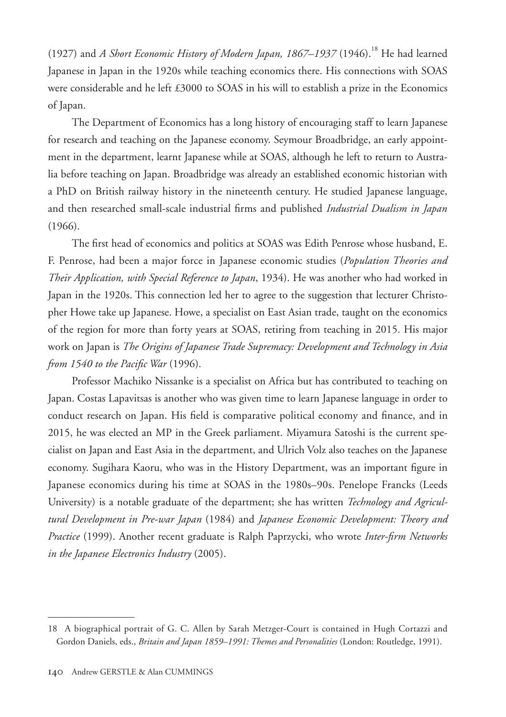(1927) and *A Short Economic History of Modern Japan, 1867–1937* (1946).18 He had learned Japanese in Japan in the 1920s while teaching economics there. His connections with SOAS were considerable and he left £3000 to SOAS in his will to establish a prize in the Economics of Japan.

The Department of Economics has a long history of encouraging staff to learn Japanese for research and teaching on the Japanese economy. Seymour Broadbridge, an early appointment in the department, learnt Japanese while at SOAS, although he left to return to Australia before teaching on Japan. Broadbridge was already an established economic historian with a PhD on British railway history in the nineteenth century. He studied Japanese language, and then researched small-scale industrial firms and published *Industrial Dualism in Japan*  (1966).

The first head of economics and politics at SOAS was Edith Penrose whose husband, E. F. Penrose, had been a major force in Japanese economic studies (*Population Theories and Their Application, with Special Reference to Japan*, 1934). He was another who had worked in Japan in the 1920s. This connection led her to agree to the suggestion that lecturer Christopher Howe take up Japanese. Howe, a specialist on East Asian trade, taught on the economics of the region for more than forty years at SOAS, retiring from teaching in 2015. His major work on Japan is *The Origins of Japanese Trade Supremacy: Development and Technology in Asia from 1540 to the Pacific War* (1996).

Professor Machiko Nissanke is a specialist on Africa but has contributed to teaching on Japan. Costas Lapavitsas is another who was given time to learn Japanese language in order to conduct research on Japan. His field is comparative political economy and finance, and in 2015, he was elected an MP in the Greek parliament. Miyamura Satoshi is the current specialist on Japan and East Asia in the department, and Ulrich Volz also teaches on the Japanese economy. Sugihara Kaoru, who was in the History Department, was an important figure in Japanese economics during his time at SOAS in the 1980s–90s. Penelope Francks (Leeds University) is a notable graduate of the department; she has written *Technology and Agricultural Development in Pre-war Japan* (1984) and *Japanese Economic Development: Theory and Practice* (1999). Another recent graduate is Ralph Paprzycki, who wrote *Inter-firm Networks in the Japanese Electronics Industry* (2005).

<sup>18</sup> A biographical portrait of G. C. Allen by Sarah Metzger-Court is contained in Hugh Cortazzi and Gordon Daniels, eds., *Britain and Japan 1859–1991: Themes and Personalities* (London: Routledge, 1991).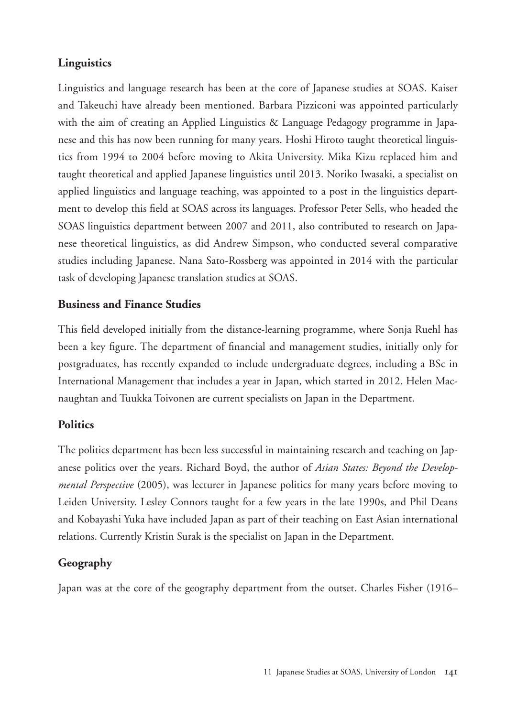# **Linguistics**

Linguistics and language research has been at the core of Japanese studies at SOAS. Kaiser and Takeuchi have already been mentioned. Barbara Pizziconi was appointed particularly with the aim of creating an Applied Linguistics & Language Pedagogy programme in Japanese and this has now been running for many years. Hoshi Hiroto taught theoretical linguistics from 1994 to 2004 before moving to Akita University. Mika Kizu replaced him and taught theoretical and applied Japanese linguistics until 2013. Noriko Iwasaki, a specialist on applied linguistics and language teaching, was appointed to a post in the linguistics department to develop this field at SOAS across its languages. Professor Peter Sells, who headed the SOAS linguistics department between 2007 and 2011, also contributed to research on Japanese theoretical linguistics, as did Andrew Simpson, who conducted several comparative studies including Japanese. Nana Sato-Rossberg was appointed in 2014 with the particular task of developing Japanese translation studies at SOAS.

# **Business and Finance Studies**

This field developed initially from the distance-learning programme, where Sonja Ruehl has been a key figure. The department of financial and management studies, initially only for postgraduates, has recently expanded to include undergraduate degrees, including a BSc in International Management that includes a year in Japan, which started in 2012. Helen Macnaughtan and Tuukka Toivonen are current specialists on Japan in the Department.

# **Politics**

The politics department has been less successful in maintaining research and teaching on Japanese politics over the years. Richard Boyd, the author of *Asian States: Beyond the Developmental Perspective* (2005), was lecturer in Japanese politics for many years before moving to Leiden University. Lesley Connors taught for a few years in the late 1990s, and Phil Deans and Kobayashi Yuka have included Japan as part of their teaching on East Asian international relations. Currently Kristin Surak is the specialist on Japan in the Department.

# **Geography**

Japan was at the core of the geography department from the outset. Charles Fisher (1916–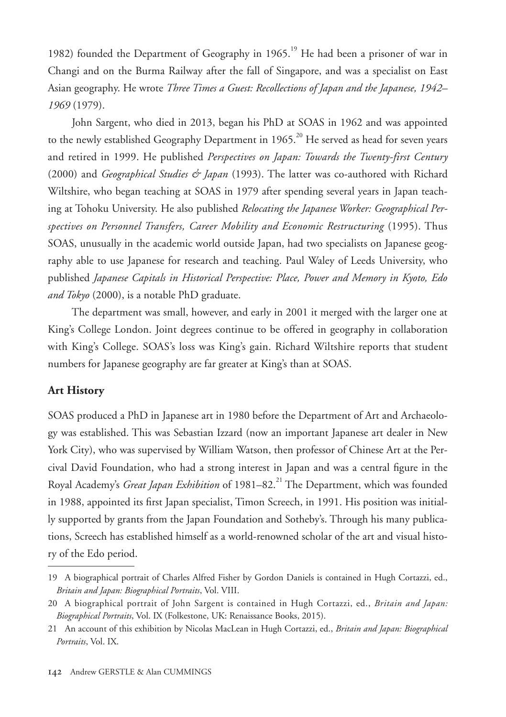1982) founded the Department of Geography in  $1965$ .<sup>19</sup> He had been a prisoner of war in Changi and on the Burma Railway after the fall of Singapore, and was a specialist on East Asian geography. He wrote *Three Times a Guest: Recollections of Japan and the Japanese, 1942– 1969* (1979).

John Sargent, who died in 2013, began his PhD at SOAS in 1962 and was appointed to the newly established Geography Department in 1965.<sup>20</sup> He served as head for seven years and retired in 1999. He published *Perspectives on Japan: Towards the Twenty-first Century*  (2000) and *Geographical Studies & Japan* (1993). The latter was co-authored with Richard Wiltshire, who began teaching at SOAS in 1979 after spending several years in Japan teaching at Tohoku University. He also published *Relocating the Japanese Worker: Geographical Perspectives on Personnel Transfers, Career Mobility and Economic Restructuring* (1995). Thus SOAS, unusually in the academic world outside Japan, had two specialists on Japanese geography able to use Japanese for research and teaching. Paul Waley of Leeds University, who published *Japanese Capitals in Historical Perspective: Place, Power and Memory in Kyoto, Edo and Tokyo* (2000), is a notable PhD graduate.

The department was small, however, and early in 2001 it merged with the larger one at King's College London. Joint degrees continue to be offered in geography in collaboration with King's College. SOAS's loss was King's gain. Richard Wiltshire reports that student numbers for Japanese geography are far greater at King's than at SOAS.

#### **Art History**

SOAS produced a PhD in Japanese art in 1980 before the Department of Art and Archaeology was established. This was Sebastian Izzard (now an important Japanese art dealer in New York City), who was supervised by William Watson, then professor of Chinese Art at the Percival David Foundation, who had a strong interest in Japan and was a central figure in the Royal Academy's *Great Japan Exhibition* of 1981–82.<sup>21</sup> The Department, which was founded in 1988, appointed its first Japan specialist, Timon Screech, in 1991. His position was initially supported by grants from the Japan Foundation and Sotheby's. Through his many publications, Screech has established himself as a world-renowned scholar of the art and visual history of the Edo period.

<sup>19</sup> A biographical portrait of Charles Alfred Fisher by Gordon Daniels is contained in Hugh Cortazzi, ed., *Britain and Japan: Biographical Portraits*, Vol. VIII.

<sup>20</sup> A biographical portrait of John Sargent is contained in Hugh Cortazzi, ed., *Britain and Japan: Biographical Portraits*, Vol. IX (Folkestone, UK: Renaissance Books, 2015).

<sup>21</sup> An account of this exhibition by Nicolas MacLean in Hugh Cortazzi, ed., *Britain and Japan: Biographical Portraits*, Vol. IX.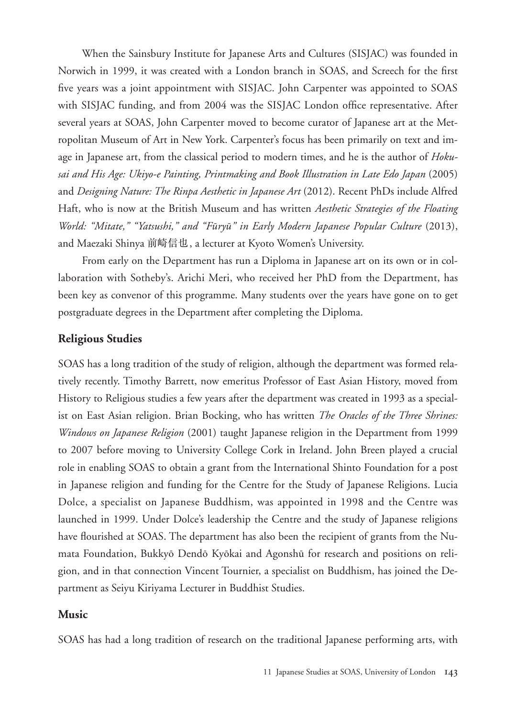When the Sainsbury Institute for Japanese Arts and Cultures (SISJAC) was founded in Norwich in 1999, it was created with a London branch in SOAS, and Screech for the first five years was a joint appointment with SISJAC. John Carpenter was appointed to SOAS with SISJAC funding, and from 2004 was the SISJAC London office representative. After several years at SOAS, John Carpenter moved to become curator of Japanese art at the Metropolitan Museum of Art in New York. Carpenter's focus has been primarily on text and image in Japanese art, from the classical period to modern times, and he is the author of *Hokusai and His Age: Ukiyo-e Painting, Printmaking and Book Illustration in Late Edo Japan* (2005) and *Designing Nature: The Rinpa Aesthetic in Japanese Art* (2012). Recent PhDs include Alfred Haft, who is now at the British Museum and has written *Aesthetic Strategies of the Floating World: "Mitate," "Yatsushi," and "Fūryū" in Early Modern Japanese Popular Culture* (2013), and Maezaki Shinya 前崎信也, a lecturer at Kyoto Women's University.

From early on the Department has run a Diploma in Japanese art on its own or in collaboration with Sotheby's. Arichi Meri, who received her PhD from the Department, has been key as convenor of this programme. Many students over the years have gone on to get postgraduate degrees in the Department after completing the Diploma.

#### **Religious Studies**

SOAS has a long tradition of the study of religion, although the department was formed relatively recently. Timothy Barrett, now emeritus Professor of East Asian History, moved from History to Religious studies a few years after the department was created in 1993 as a specialist on East Asian religion. Brian Bocking, who has written *The Oracles of the Three Shrines: Windows on Japanese Religion* (2001) taught Japanese religion in the Department from 1999 to 2007 before moving to University College Cork in Ireland. John Breen played a crucial role in enabling SOAS to obtain a grant from the International Shinto Foundation for a post in Japanese religion and funding for the Centre for the Study of Japanese Religions. Lucia Dolce, a specialist on Japanese Buddhism, was appointed in 1998 and the Centre was launched in 1999. Under Dolce's leadership the Centre and the study of Japanese religions have flourished at SOAS. The department has also been the recipient of grants from the Numata Foundation, Bukkyō Dendō Kyōkai and Agonshū for research and positions on religion, and in that connection Vincent Tournier, a specialist on Buddhism, has joined the Department as Seiyu Kiriyama Lecturer in Buddhist Studies.

#### **Music**

SOAS has had a long tradition of research on the traditional Japanese performing arts, with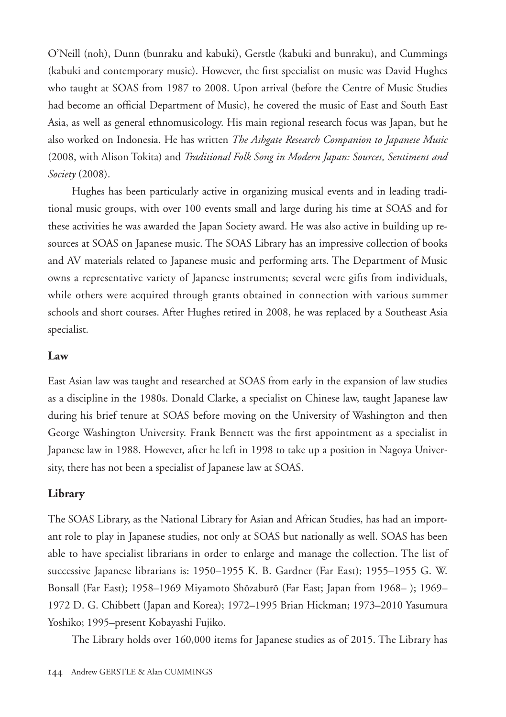O'Neill (noh), Dunn (bunraku and kabuki), Gerstle (kabuki and bunraku), and Cummings (kabuki and contemporary music). However, the first specialist on music was David Hughes who taught at SOAS from 1987 to 2008. Upon arrival (before the Centre of Music Studies had become an official Department of Music), he covered the music of East and South East Asia, as well as general ethnomusicology. His main regional research focus was Japan, but he also worked on Indonesia. He has written *The Ashgate Research Companion to Japanese Music*  (2008, with Alison Tokita) and *Traditional Folk Song in Modern Japan: Sources, Sentiment and Society* (2008).

Hughes has been particularly active in organizing musical events and in leading traditional music groups, with over 100 events small and large during his time at SOAS and for these activities he was awarded the Japan Society award. He was also active in building up resources at SOAS on Japanese music. The SOAS Library has an impressive collection of books and AV materials related to Japanese music and performing arts. The Department of Music owns a representative variety of Japanese instruments; several were gifts from individuals, while others were acquired through grants obtained in connection with various summer schools and short courses. After Hughes retired in 2008, he was replaced by a Southeast Asia specialist.

#### **Law**

East Asian law was taught and researched at SOAS from early in the expansion of law studies as a discipline in the 1980s. Donald Clarke, a specialist on Chinese law, taught Japanese law during his brief tenure at SOAS before moving on the University of Washington and then George Washington University. Frank Bennett was the first appointment as a specialist in Japanese law in 1988. However, after he left in 1998 to take up a position in Nagoya University, there has not been a specialist of Japanese law at SOAS.

#### **Library**

The SOAS Library, as the National Library for Asian and African Studies, has had an important role to play in Japanese studies, not only at SOAS but nationally as well. SOAS has been able to have specialist librarians in order to enlarge and manage the collection. The list of successive Japanese librarians is: 1950–1955 K. B. Gardner (Far East); 1955–1955 G. W. Bonsall (Far East); 1958–1969 Miyamoto Shōzaburō (Far East; Japan from 1968– ); 1969– 1972 D. G. Chibbett (Japan and Korea); 1972–1995 Brian Hickman; 1973–2010 Yasumura Yoshiko; 1995–present Kobayashi Fujiko.

The Library holds over 160,000 items for Japanese studies as of 2015. The Library has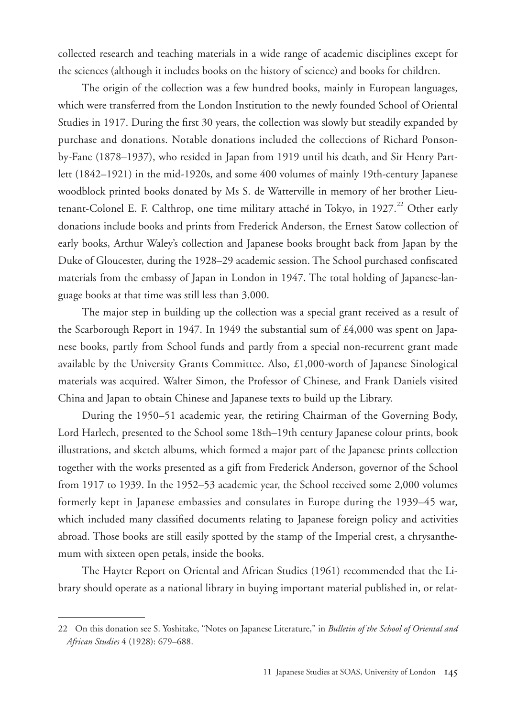collected research and teaching materials in a wide range of academic disciplines except for the sciences (although it includes books on the history of science) and books for children.

The origin of the collection was a few hundred books, mainly in European languages, which were transferred from the London Institution to the newly founded School of Oriental Studies in 1917. During the first 30 years, the collection was slowly but steadily expanded by purchase and donations. Notable donations included the collections of Richard Ponsonby-Fane (1878–1937), who resided in Japan from 1919 until his death, and Sir Henry Partlett (1842–1921) in the mid-1920s, and some 400 volumes of mainly 19th-century Japanese woodblock printed books donated by Ms S. de Watterville in memory of her brother Lieutenant-Colonel E. F. Calthrop, one time military attaché in Tokyo, in 1927.<sup>22</sup> Other early donations include books and prints from Frederick Anderson, the Ernest Satow collection of early books, Arthur Waley's collection and Japanese books brought back from Japan by the Duke of Gloucester, during the 1928–29 academic session. The School purchased confiscated materials from the embassy of Japan in London in 1947. The total holding of Japanese-language books at that time was still less than 3,000.

The major step in building up the collection was a special grant received as a result of the Scarborough Report in 1947. In 1949 the substantial sum of £4,000 was spent on Japanese books, partly from School funds and partly from a special non-recurrent grant made available by the University Grants Committee. Also, £1,000-worth of Japanese Sinological materials was acquired. Walter Simon, the Professor of Chinese, and Frank Daniels visited China and Japan to obtain Chinese and Japanese texts to build up the Library.

During the 1950–51 academic year, the retiring Chairman of the Governing Body, Lord Harlech, presented to the School some 18th–19th century Japanese colour prints, book illustrations, and sketch albums, which formed a major part of the Japanese prints collection together with the works presented as a gift from Frederick Anderson, governor of the School from 1917 to 1939. In the 1952–53 academic year, the School received some 2,000 volumes formerly kept in Japanese embassies and consulates in Europe during the 1939–45 war, which included many classified documents relating to Japanese foreign policy and activities abroad. Those books are still easily spotted by the stamp of the Imperial crest, a chrysanthemum with sixteen open petals, inside the books.

The Hayter Report on Oriental and African Studies (1961) recommended that the Library should operate as a national library in buying important material published in, or relat-

<sup>22</sup> On this donation see S. Yoshitake, "Notes on Japanese Literature," in *Bulletin of the School of Oriental and African Studies* 4 (1928): 679–688.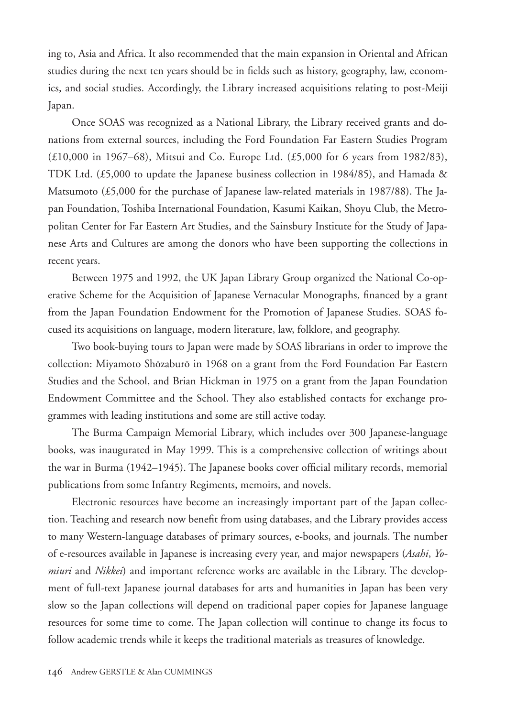ing to, Asia and Africa. It also recommended that the main expansion in Oriental and African studies during the next ten years should be in fields such as history, geography, law, economics, and social studies. Accordingly, the Library increased acquisitions relating to post-Meiji Japan.

Once SOAS was recognized as a National Library, the Library received grants and donations from external sources, including the Ford Foundation Far Eastern Studies Program (£10,000 in 1967–68), Mitsui and Co. Europe Ltd. (£5,000 for 6 years from 1982/83), TDK Ltd. (£5,000 to update the Japanese business collection in 1984/85), and Hamada & Matsumoto (£5,000 for the purchase of Japanese law-related materials in 1987/88). The Japan Foundation, Toshiba International Foundation, Kasumi Kaikan, Shoyu Club, the Metropolitan Center for Far Eastern Art Studies, and the Sainsbury Institute for the Study of Japanese Arts and Cultures are among the donors who have been supporting the collections in recent years.

Between 1975 and 1992, the UK Japan Library Group organized the National Co-operative Scheme for the Acquisition of Japanese Vernacular Monographs, financed by a grant from the Japan Foundation Endowment for the Promotion of Japanese Studies. SOAS focused its acquisitions on language, modern literature, law, folklore, and geography.

Two book-buying tours to Japan were made by SOAS librarians in order to improve the collection: Miyamoto Shōzaburō in 1968 on a grant from the Ford Foundation Far Eastern Studies and the School, and Brian Hickman in 1975 on a grant from the Japan Foundation Endowment Committee and the School. They also established contacts for exchange programmes with leading institutions and some are still active today.

The Burma Campaign Memorial Library, which includes over 300 Japanese-language books, was inaugurated in May 1999. This is a comprehensive collection of writings about the war in Burma (1942–1945). The Japanese books cover official military records, memorial publications from some Infantry Regiments, memoirs, and novels.

Electronic resources have become an increasingly important part of the Japan collection. Teaching and research now benefit from using databases, and the Library provides access to many Western-language databases of primary sources, e-books, and journals. The number of e-resources available in Japanese is increasing every year, and major newspapers (*Asahi*, *Yomiuri* and *Nikkei*) and important reference works are available in the Library. The development of full-text Japanese journal databases for arts and humanities in Japan has been very slow so the Japan collections will depend on traditional paper copies for Japanese language resources for some time to come. The Japan collection will continue to change its focus to follow academic trends while it keeps the traditional materials as treasures of knowledge.